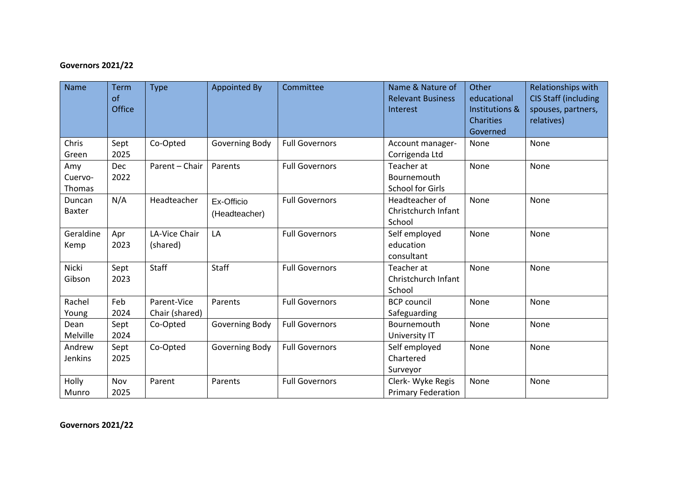## **Governors 2021/22**

| <b>Name</b>              | <b>Term</b><br>of<br><b>Office</b> | <b>Type</b>                   | <b>Appointed By</b>         | Committee             | Name & Nature of<br><b>Relevant Business</b><br>Interest | Other<br>educational<br><b>Institutions &amp;</b><br>Charities<br>Governed | Relationships with<br><b>CIS Staff (including</b><br>spouses, partners,<br>relatives) |
|--------------------------|------------------------------------|-------------------------------|-----------------------------|-----------------------|----------------------------------------------------------|----------------------------------------------------------------------------|---------------------------------------------------------------------------------------|
| Chris<br>Green           | Sept<br>2025                       | Co-Opted                      | Governing Body              | <b>Full Governors</b> | Account manager-<br>Corrigenda Ltd                       | None                                                                       | None                                                                                  |
| Amy<br>Cuervo-<br>Thomas | <b>Dec</b><br>2022                 | Parent - Chair                | Parents                     | <b>Full Governors</b> | Teacher at<br>Bournemouth<br><b>School for Girls</b>     | None                                                                       | None                                                                                  |
| Duncan<br><b>Baxter</b>  | N/A                                | Headteacher                   | Ex-Officio<br>(Headteacher) | <b>Full Governors</b> | Headteacher of<br>Christchurch Infant<br>School          | None                                                                       | None                                                                                  |
| Geraldine<br>Kemp        | Apr<br>2023                        | LA-Vice Chair<br>(shared)     | LA                          | <b>Full Governors</b> | Self employed<br>education<br>consultant                 | None                                                                       | None                                                                                  |
| Nicki<br>Gibson          | Sept<br>2023                       | Staff                         | Staff                       | <b>Full Governors</b> | Teacher at<br>Christchurch Infant<br>School              | None                                                                       | None                                                                                  |
| Rachel<br>Young          | Feb<br>2024                        | Parent-Vice<br>Chair (shared) | Parents                     | <b>Full Governors</b> | <b>BCP</b> council<br>Safeguarding                       | None                                                                       | None                                                                                  |
| Dean<br>Melville         | Sept<br>2024                       | Co-Opted                      | Governing Body              | <b>Full Governors</b> | Bournemouth<br>University IT                             | None                                                                       | None                                                                                  |
| Andrew<br>Jenkins        | Sept<br>2025                       | Co-Opted                      | Governing Body              | <b>Full Governors</b> | Self employed<br>Chartered<br>Surveyor                   | None                                                                       | None                                                                                  |
| Holly<br>Munro           | Nov<br>2025                        | Parent                        | Parents                     | <b>Full Governors</b> | Clerk- Wyke Regis<br><b>Primary Federation</b>           | None                                                                       | None                                                                                  |

**Governors 2021/22**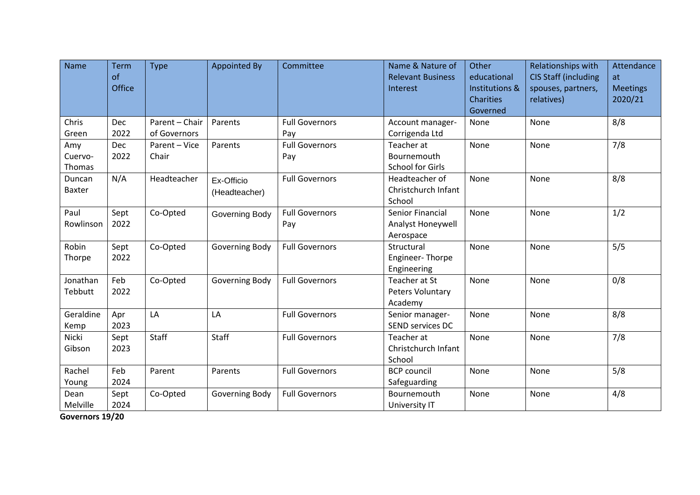| <b>Name</b>              | Term<br>of<br>Office | <b>Type</b>                    | <b>Appointed By</b>         | Committee                    | Name & Nature of<br><b>Relevant Business</b><br>Interest | Other<br>educational<br>Institutions & | Relationships with<br><b>CIS Staff (including</b><br>spouses, partners, | Attendance<br>at<br><b>Meetings</b> |
|--------------------------|----------------------|--------------------------------|-----------------------------|------------------------------|----------------------------------------------------------|----------------------------------------|-------------------------------------------------------------------------|-------------------------------------|
|                          |                      |                                |                             |                              |                                                          | <b>Charities</b><br>Governed           | relatives)                                                              | 2020/21                             |
| Chris<br>Green           | <b>Dec</b><br>2022   | Parent - Chair<br>of Governors | Parents                     | <b>Full Governors</b><br>Pay | Account manager-<br>Corrigenda Ltd                       | None                                   | None                                                                    | 8/8                                 |
| Amy<br>Cuervo-<br>Thomas | Dec<br>2022          | Parent - Vice<br>Chair         | Parents                     | <b>Full Governors</b><br>Pay | Teacher at<br>Bournemouth<br><b>School for Girls</b>     | None                                   | None                                                                    | 7/8                                 |
| Duncan<br><b>Baxter</b>  | N/A                  | Headteacher                    | Ex-Officio<br>(Headteacher) | <b>Full Governors</b>        | Headteacher of<br>Christchurch Infant<br>School          | None                                   | None                                                                    | 8/8                                 |
| Paul<br>Rowlinson        | Sept<br>2022         | Co-Opted                       | Governing Body              | <b>Full Governors</b><br>Pay | Senior Financial<br>Analyst Honeywell<br>Aerospace       | None                                   | None                                                                    | 1/2                                 |
| Robin<br>Thorpe          | Sept<br>2022         | Co-Opted                       | Governing Body              | <b>Full Governors</b>        | Structural<br>Engineer-Thorpe<br>Engineering             | None                                   | None                                                                    | 5/5                                 |
| Jonathan<br>Tebbutt      | Feb<br>2022          | Co-Opted                       | Governing Body              | <b>Full Governors</b>        | Teacher at St<br>Peters Voluntary<br>Academy             | None                                   | None                                                                    | 0/8                                 |
| Geraldine<br>Kemp        | Apr<br>2023          | LA                             | LA                          | <b>Full Governors</b>        | Senior manager-<br>SEND services DC                      | None                                   | None                                                                    | 8/8                                 |
| Nicki<br>Gibson          | Sept<br>2023         | Staff                          | Staff                       | <b>Full Governors</b>        | Teacher at<br>Christchurch Infant<br>School              | None                                   | None                                                                    | 7/8                                 |
| Rachel<br>Young          | Feb<br>2024          | Parent                         | Parents                     | <b>Full Governors</b>        | <b>BCP</b> council<br>Safeguarding                       | None                                   | None                                                                    | 5/8                                 |
| Dean<br>Melville         | Sept<br>2024         | Co-Opted                       | Governing Body              | <b>Full Governors</b>        | Bournemouth<br>University IT                             | None                                   | None                                                                    | 4/8                                 |

**Governors 19/20**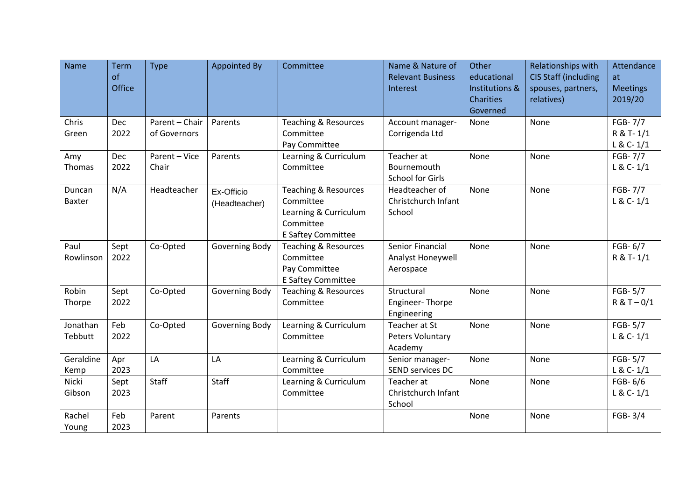| <b>Name</b>             | <b>Term</b><br>of<br>Office | <b>Type</b>                    | <b>Appointed By</b>         | Committee                                                                                                | Name & Nature of<br><b>Relevant Business</b><br>Interest | Other<br>educational<br>Institutions & | Relationships with<br><b>CIS Staff (including</b><br>spouses, partners, | Attendance<br>at<br><b>Meetings</b>   |
|-------------------------|-----------------------------|--------------------------------|-----------------------------|----------------------------------------------------------------------------------------------------------|----------------------------------------------------------|----------------------------------------|-------------------------------------------------------------------------|---------------------------------------|
|                         |                             |                                |                             |                                                                                                          |                                                          | Charities<br>Governed                  | relatives)                                                              | 2019/20                               |
| Chris<br>Green          | <b>Dec</b><br>2022          | Parent - Chair<br>of Governors | Parents                     | <b>Teaching &amp; Resources</b><br>Committee<br>Pay Committee                                            | Account manager-<br>Corrigenda Ltd                       | None                                   | None                                                                    | FGB-7/7<br>R & T-1/1<br>$L & C - 1/1$ |
| Amy<br>Thomas           | <b>Dec</b><br>2022          | Parent - Vice<br>Chair         | Parents                     | Learning & Curriculum<br>Committee                                                                       | Teacher at<br>Bournemouth<br>School for Girls            | None                                   | None                                                                    | FGB-7/7<br>$L & C - 1/1$              |
| Duncan<br><b>Baxter</b> | N/A                         | Headteacher                    | Ex-Officio<br>(Headteacher) | <b>Teaching &amp; Resources</b><br>Committee<br>Learning & Curriculum<br>Committee<br>E Saftey Committee | Headteacher of<br>Christchurch Infant<br>School          | None                                   | None                                                                    | FGB-7/7<br>$L & C - 1/1$              |
| Paul<br>Rowlinson       | Sept<br>2022                | Co-Opted                       | Governing Body              | <b>Teaching &amp; Resources</b><br>Committee<br>Pay Committee<br>E Saftey Committee                      | Senior Financial<br>Analyst Honeywell<br>Aerospace       | None                                   | None                                                                    | FGB-6/7<br>R & T-1/1                  |
| Robin<br>Thorpe         | Sept<br>2022                | Co-Opted                       | Governing Body              | Teaching & Resources<br>Committee                                                                        | Structural<br>Engineer-Thorpe<br>Engineering             | None                                   | None                                                                    | FGB-5/7<br>$R & T - 0/1$              |
| Jonathan<br>Tebbutt     | Feb<br>2022                 | Co-Opted                       | Governing Body              | Learning & Curriculum<br>Committee                                                                       | Teacher at St<br>Peters Voluntary<br>Academy             | None                                   | None                                                                    | FGB-5/7<br>$L & C - 1/1$              |
| Geraldine<br>Kemp       | Apr<br>2023                 | LA                             | LA                          | Learning & Curriculum<br>Committee                                                                       | Senior manager-<br>SEND services DC                      | None                                   | None                                                                    | FGB-5/7<br>$L & C - 1/1$              |
| Nicki<br>Gibson         | Sept<br>2023                | <b>Staff</b>                   | Staff                       | Learning & Curriculum<br>Committee                                                                       | Teacher at<br>Christchurch Infant<br>School              | None                                   | None                                                                    | FGB-6/6<br>$L & C - 1/1$              |
| Rachel<br>Young         | Feb<br>2023                 | Parent                         | Parents                     |                                                                                                          |                                                          | None                                   | None                                                                    | FGB-3/4                               |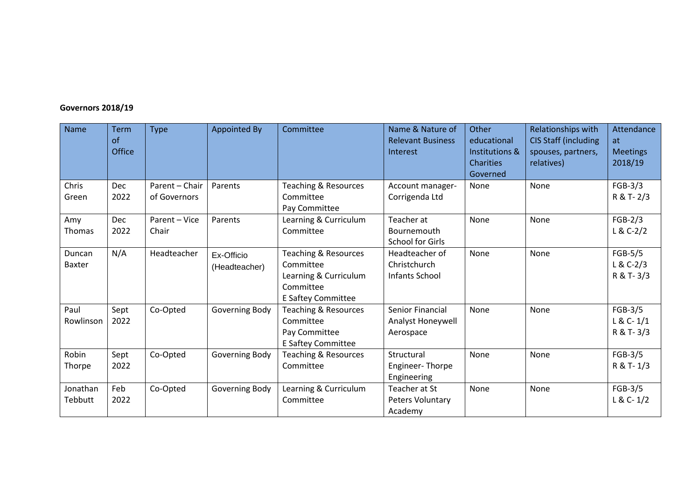## **Governors 2018/19**

| Name                    | Term<br>of<br><b>Office</b> | <b>Type</b>                    | Appointed By                | Committee                                                                                                | Name & Nature of<br><b>Relevant Business</b><br>Interest | Other<br>educational<br>Institutions &<br><b>Charities</b><br>Governed | Relationships with<br><b>CIS Staff (including</b><br>spouses, partners,<br>relatives) | Attendance<br>at<br><b>Meetings</b><br>2018/19 |
|-------------------------|-----------------------------|--------------------------------|-----------------------------|----------------------------------------------------------------------------------------------------------|----------------------------------------------------------|------------------------------------------------------------------------|---------------------------------------------------------------------------------------|------------------------------------------------|
| Chris<br>Green          | Dec<br>2022                 | Parent - Chair<br>of Governors | Parents                     | <b>Teaching &amp; Resources</b><br>Committee<br>Pay Committee                                            | Account manager-<br>Corrigenda Ltd                       | None                                                                   | None                                                                                  | $FGB-3/3$<br>R & T- 2/3                        |
| Amy<br>Thomas           | <b>Dec</b><br>2022          | Parent - Vice<br>Chair         | Parents                     | Learning & Curriculum<br>Committee                                                                       | Teacher at<br>Bournemouth<br><b>School for Girls</b>     | None                                                                   | None                                                                                  | $FGB-2/3$<br>$L & C-2/2$                       |
| Duncan<br><b>Baxter</b> | N/A                         | Headteacher                    | Ex-Officio<br>(Headteacher) | <b>Teaching &amp; Resources</b><br>Committee<br>Learning & Curriculum<br>Committee<br>E Saftey Committee | Headteacher of<br>Christchurch<br>Infants School         | None                                                                   | None                                                                                  | FGB-5/5<br>$L & C-2/3$<br>R & T-3/3            |
| Paul<br>Rowlinson       | Sept<br>2022                | Co-Opted                       | Governing Body              | <b>Teaching &amp; Resources</b><br>Committee<br>Pay Committee<br>E Saftey Committee                      | Senior Financial<br>Analyst Honeywell<br>Aerospace       | None                                                                   | None                                                                                  | FGB-3/5<br>$L & C - 1/1$<br>R & T-3/3          |
| Robin<br>Thorpe         | Sept<br>2022                | Co-Opted                       | Governing Body              | Teaching & Resources<br>Committee                                                                        | Structural<br>Engineer-Thorpe<br>Engineering             | None                                                                   | None                                                                                  | $FGB-3/5$<br>R & T-1/3                         |
| Jonathan<br>Tebbutt     | Feb<br>2022                 | Co-Opted                       | Governing Body              | Learning & Curriculum<br>Committee                                                                       | Teacher at St<br>Peters Voluntary<br>Academy             | None                                                                   | None                                                                                  | FGB-3/5<br>$L & C - 1/2$                       |